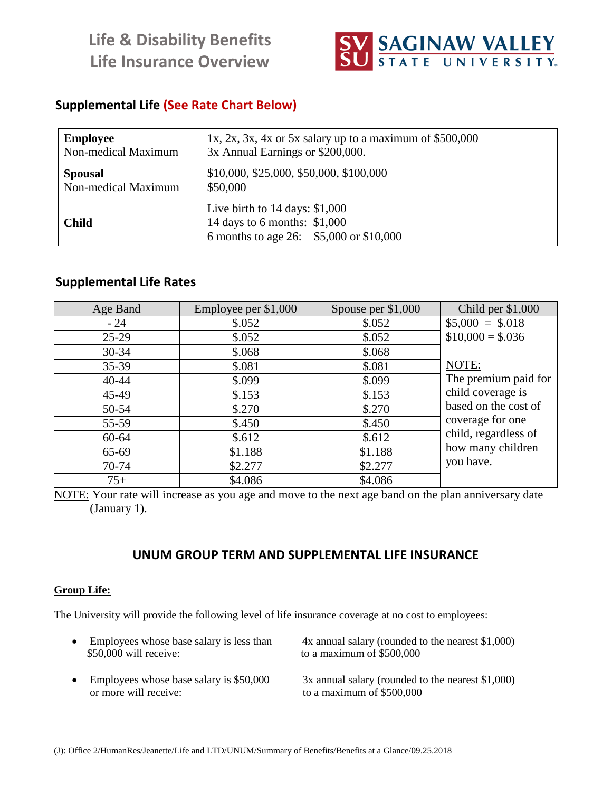**Life & Disability Benefits Life Insurance Overview**



# **Supplemental Life (See Rate Chart Below)**

| <b>Employee</b>     | 1x, 2x, 3x, 4x or 5x salary up to a maximum of $$500,000$                                                   |
|---------------------|-------------------------------------------------------------------------------------------------------------|
| Non-medical Maximum | 3x Annual Earnings or \$200,000.                                                                            |
| <b>Spousal</b>      | \$10,000, \$25,000, \$50,000, \$100,000                                                                     |
| Non-medical Maximum | \$50,000                                                                                                    |
| <b>Child</b>        | Live birth to $14$ days: \$1,000<br>14 days to 6 months: \$1,000<br>6 months to age 26: \$5,000 or \$10,000 |

# **Supplemental Life Rates**

| Age Band  | Employee per \$1,000 | Spouse per $$1,000$ | Child per $$1,000$   |
|-----------|----------------------|---------------------|----------------------|
| $-24$     | \$.052               | \$.052              | $$5,000 = $.018$     |
| $25-29$   | \$.052               | \$.052              | $$10,000 = $0.036$   |
| $30 - 34$ | \$.068               | \$.068              |                      |
| $35 - 39$ | \$.081               | \$.081              | NOTE:                |
| $40 - 44$ | \$.099               | \$.099              | The premium paid for |
| 45-49     | \$.153               | \$.153              | child coverage is    |
| 50-54     | \$.270               | \$.270              | based on the cost of |
| 55-59     | \$.450               | \$.450              | coverage for one     |
| $60 - 64$ | \$.612               | \$.612              | child, regardless of |
| 65-69     | \$1.188              | \$1.188             | how many children    |
| 70-74     | \$2.277              | \$2.277             | you have.            |
| $75+$     | \$4.086              | \$4.086             |                      |

NOTE: Your rate will increase as you age and move to the next age band on the plan anniversary date (January 1).

## **UNUM GROUP TERM AND SUPPLEMENTAL LIFE INSURANCE**

#### **Group Life:**

The University will provide the following level of life insurance coverage at no cost to employees:

| • Employees whose base salary is less than | 4x annual salary (rounded to the nearest \$1,000)   |
|--------------------------------------------|-----------------------------------------------------|
| \$50,000 will receive:                     | to a maximum of $$500,000$                          |
| Employees whose base salary is \$50,000    | $3x$ annual salary (rounded to the nearest \$1,000) |
| or more will receive:                      | to a maximum of $$500,000$                          |